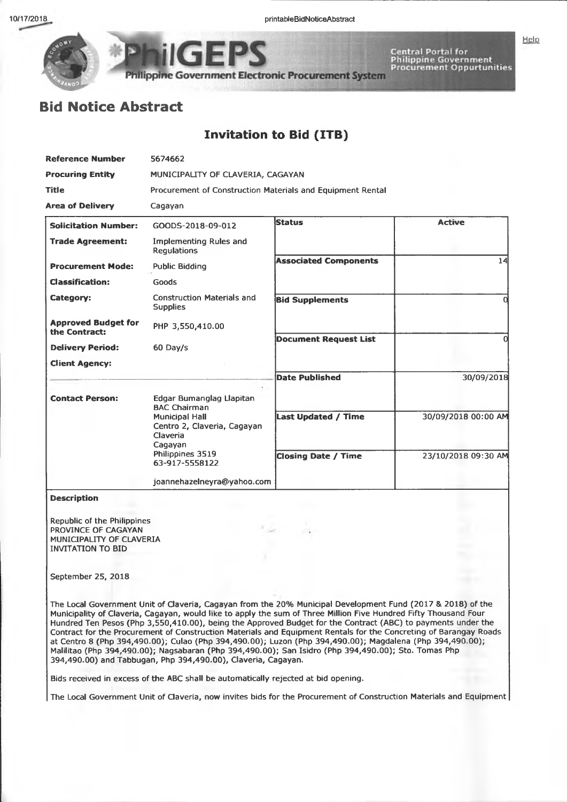Help



**lippme Government Electronic Procurement System**

# Central Portal for<br>Philippine Government<br>Procurement Oppurtunities

## **Bid Notice Abstract**

### **Invitation to Bid (ITB)**

| <b>Reference Number</b>                     | 5674662                                                                                                                        |                              |                     |  |  |  |
|---------------------------------------------|--------------------------------------------------------------------------------------------------------------------------------|------------------------------|---------------------|--|--|--|
| <b>Procuring Entity</b>                     | MUNICIPALITY OF CLAVERIA, CAGAYAN                                                                                              |                              |                     |  |  |  |
| <b>Title</b>                                | Procurement of Construction Materials and Equipment Rental                                                                     |                              |                     |  |  |  |
| <b>Area of Delivery</b>                     | Cagayan                                                                                                                        |                              |                     |  |  |  |
| <b>Solicitation Number:</b>                 | GOODS-2018-09-012                                                                                                              | <b>Status</b>                | <b>Active</b>       |  |  |  |
| <b>Trade Agreement:</b>                     | <b>Implementing Rules and</b><br><b>Requlations</b>                                                                            |                              |                     |  |  |  |
| <b>Procurement Mode:</b>                    | <b>Public Bidding</b>                                                                                                          | <b>Associated Components</b> | 14                  |  |  |  |
| <b>Classification:</b>                      | Goods                                                                                                                          |                              |                     |  |  |  |
| Category:                                   | <b>Construction Materials and</b><br><b>Supplies</b>                                                                           | <b>Bid Supplements</b>       |                     |  |  |  |
| <b>Approved Budget for</b><br>the Contract: | PHP 3,550,410.00                                                                                                               |                              |                     |  |  |  |
| <b>Delivery Period:</b>                     | 60 Day/s                                                                                                                       | <b>Document Request List</b> |                     |  |  |  |
| <b>Client Agency:</b>                       |                                                                                                                                |                              |                     |  |  |  |
|                                             | ۰.                                                                                                                             | <b>Date Published</b>        | 30/09/2018          |  |  |  |
| <b>Contact Person:</b>                      | Edgar Bumanglag Llapitan<br><b>BAC Chairman</b><br><b>Municipal Hall</b><br>Centro 2, Claveria, Cagayan<br>Claveria<br>Cagayan | <b>Last Updated / Time</b>   | 30/09/2018 00:00 AM |  |  |  |
|                                             | Philippines 3519<br>63-917-5558122                                                                                             | <b>Closing Date / Time</b>   | 23/10/2018 09:30 AM |  |  |  |
|                                             | joannehazelneyra@yahoo.com                                                                                                     |                              |                     |  |  |  |

#### **Description**

**Republic of the Philippines PROVINCE OF CAGAYAN MUNICIPALITY OF CLAVERIA INVITATION TO BID**

#### **September 25, 2018**

**The Local Government Unit of Claveria, Cagayan from the 20% Municipal Development Fund (2017 & 2018) of the Municipality of Claveria, Cagayan, would like to apply the sum of Three Million Five Hundred Fifty Thousand Four Hundred Ten Pesos (Php 3,550,410.00), being the Approved Budget for the Contract (ABC) to payments under the Contract for the Procurement of Construction Materials and Equipment Rentals for the Concreting of Barangay Roads at Centro 8 (Php 394,490.00); Culao (Php 394,490.00); Luzon (Php 394,490.00); Magdalena (Php 394,490.00); Malilitao (Php 394,490.00); Nagsabaran (Php 394,490.00); San Isidro (Php 394,490.00); Sto. Tomas Php 394,490.00) and Tabbugan, Php 394,490.00), Claveria, Cagayan.**

**Bids received in excess of the ABC shall be automatically rejected at bid opening.**

**The Local Government Unit of Claveria, now invites bids for the Procurement of Construction Materials and Equipment**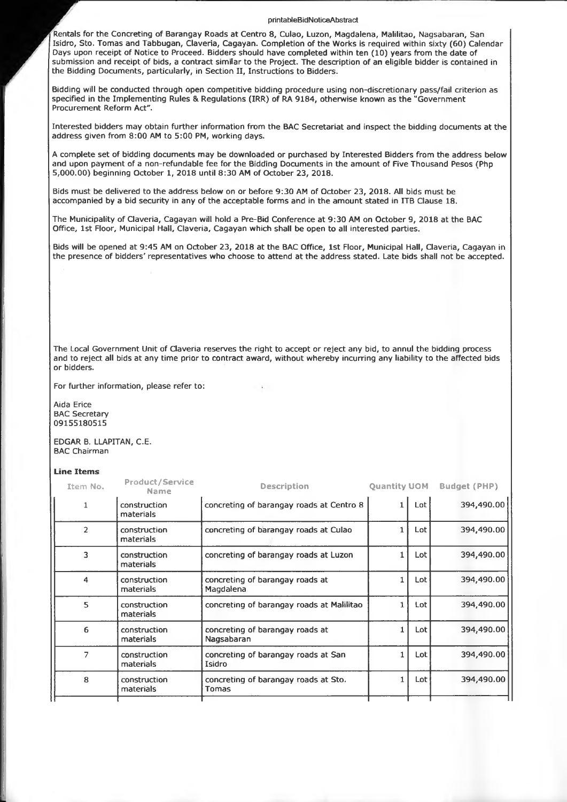#### **printableBidNoticeAbstract**

**Rentals for the Concreting of Barangay Roads at Centro 8, Culao, Luzon, Magdalena, Malilitao, Nagsabaran, San Isidro, Sto. Tomas and Tabbugan, Claveria, Cagayan. Completion of the Works is required within sixty (60) Calendar Days upon receipt of Notice to Proceed. Bidders should have completed within ten (10) years from the date of submission and receipt of bids, a contract similar to the Project. The description of an eligible bidder is contained in the Bidding Documents, particularly, in Section II, Instructions to Bidders.**

**Bidding will be conducted through open competitive bidding procedure using non-discretionary pass/fail criterion as specified in the Implementing Rules & Regulations (IRR) of RA 9184, otherwise known as the "Government Procurement Reform Act".**

**Interested bidders may obtain further information from the BAC Secretariat and inspect the bidding documents at the address given from 8:00 AM to 5:00 PM, working days.**

**A complete set of bidding documents may be downloaded or purchased by Interested Bidders from the address below and upon payment of a non-refundable fee for the Bidding Documents in the amount of Five Thousand Pesos (Php 5,000.00) beginning October 1, 2018 until 8:30 AM of October 23, 2018.**

**Bids must be delivered to the address below on or before 9:30 AM of October 23, 2018. All bids must be accompanied by a bid security in any of the acceptable forms and in the amount stated in ITB Clause 18.**

**The Municipality of Claveria, Cagayan will hold a Pre-Bid Conference at 9:30 AM on October 9, 2018 at the BAC Office, 1st Floor, Municipal Hall, Claveria, Cagayan which shall be open to all interested parties.**

**Bids will be opened at 9:45 AM on October 23, 2018 at the BAC Office, 1st Floor, Municipal Hall, Claveria, Cagayan in the presence of bidders' representatives who choose to attend at the address stated. Late bids shall not be accepted.**

**The Local Government Unit of Claveria reserves the right to accept or reject any bid, to annul the bidding process and to reject all bids at any time prior to contract award, without whereby incurring any liability to the affected bids or bidders.**

**For further information, please refer to:**

**Aida Erice BAC Secretary 09155180515**

**EDGAR B. LLAPITAN, C.E. BAC Chairman**

#### **Line Items**

| Item No.       | <b>Product/Service</b><br>Name | <b>Description</b>                                   | <b>Ouantity UOM</b> |     | <b>Budget (PHP)</b> |
|----------------|--------------------------------|------------------------------------------------------|---------------------|-----|---------------------|
| 1              | construction<br>materials      | concreting of barangay roads at Centro 8             |                     | Lot | 394,490.00          |
| $\overline{2}$ | construction<br>materials      | concreting of barangay roads at Culao                |                     | Lot | 394,490.00          |
| 3              | construction<br>materials      | concreting of barangay roads at Luzon                |                     | Lot | 394,490.00          |
| 4              | construction<br>materials      | concreting of barangay roads at<br>Magdalena         | Lot                 |     | 394,490.00          |
| 5              | construction<br>materials      | concreting of barangay roads at Malilitao            |                     | Lot | 394,490.00          |
| 6              | construction<br>materials      | concreting of barangay roads at<br>Nagsabaran        |                     | Lot | 394,490.00          |
| 7              | construction<br>materials      | concreting of barangay roads at San<br>Isidro        |                     | Lot | 394,490.00          |
| 8              | construction<br>materials      | concreting of barangay roads at Sto.<br><b>Tomas</b> |                     | Lot | 394,490.00          |
|                |                                |                                                      |                     |     |                     |